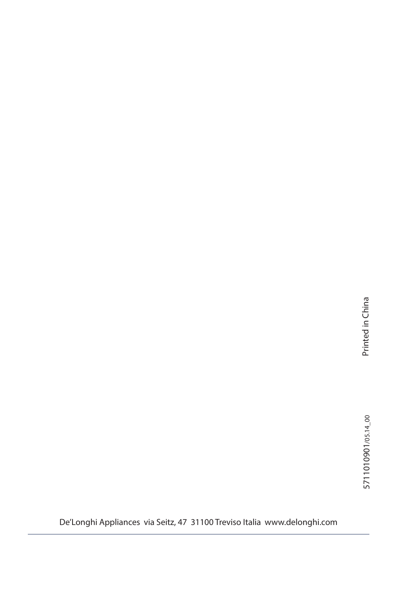De'Longhi Appliances via Seitz, 47 31100 Treviso Italia www.delonghi.com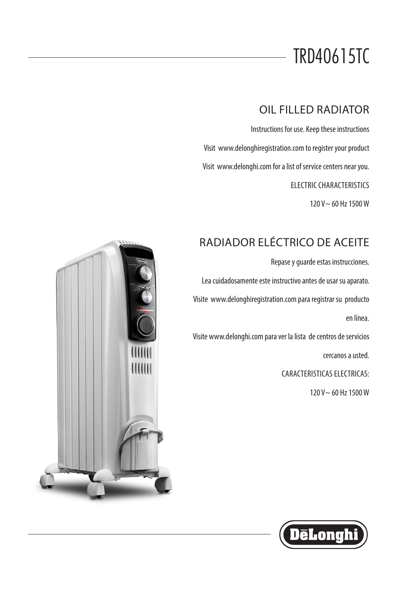# TRD40615TC

## OIL FILLED RADIATOR

Instructions for use. Keep these instructions

Visit www.delonghiregistration.com to register your product

Visit www.delonghi.com for a list of service centers near you.

ELECTRIC CHARACTERISTICS

120 V~ 60 Hz 1500 W

## RADIADOR ELÉCTRICO DE ACEITE

Repase y guarde estas instrucciones.

Lea cuidadosamente este instructivo antes de usar su aparato.

Visite www.delonghiregistration.com para registrar su producto

en línea.

Visite www.delonghi.com para ver la lista de centros de servicios

cercanos a usted.

CARACTERISTICAS ELECTRICAS:

120 V~ 60 Hz 1500 W



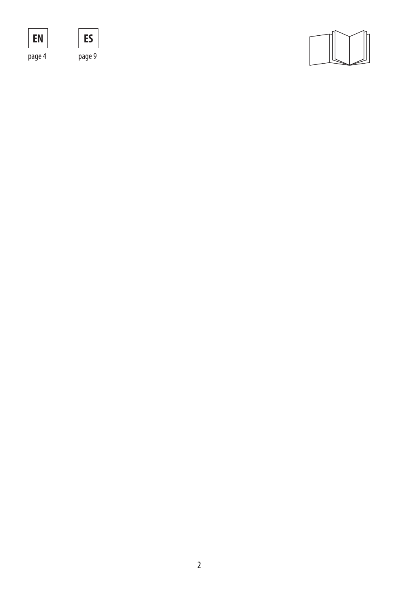





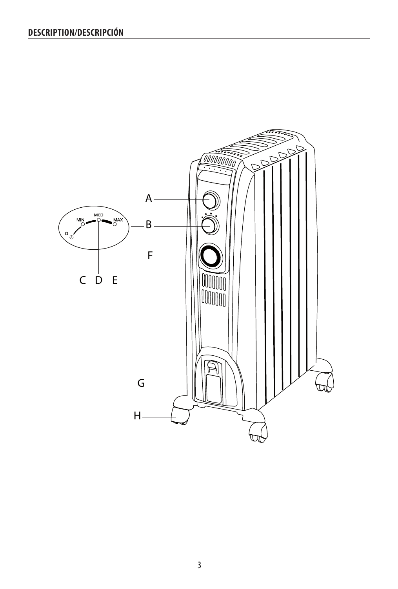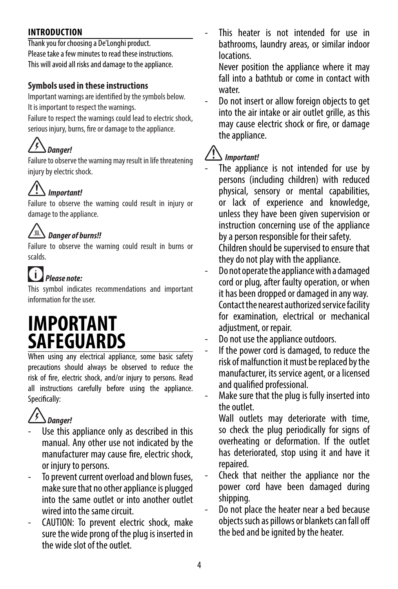### **INTRODUCTION**

Thank you for choosing a De'Longhi product. Please take a few minutes to read these instructions. This will avoid all risks and damage to the appliance.

### **Symbols used in these instructions**

Important warnings are identified by the symbols below. It is important to respect the warnings.

Failure to respect the warnings could lead to electric shock, serious injury, burns, fire or damage to the appliance.

## *Danger!*

Failure to observe the warning may result in life threatening injury by electric shock.

# *Important!*

Failure to observe the warning could result in injury or damage to the appliance.

## *Danger of burns!!*

Failure to observe the warning could result in burns or scalds.

#### $\bullet$  *Please note:*

This symbol indicates recommendations and important information for the user.

## **IMPORTANT SAFEGUARDS**

When using any electrical appliance, some basic safety precautions should always be observed to reduce the risk of fire, electric shock, and/or injury to persons. Read all instructions carefully before using the appliance. Specifically:

# *Danger!*

- Use this appliance only as described in this manual. Any other use not indicated by the manufacturer may cause fire, electric shock, or injury to persons.
- To prevent current overload and blown fuses, make sure that no other appliance is plugged into the same outlet or into another outlet wired into the same circuit.
- CAUTION: To prevent electric shock, make sure the wide prong of the plug is inserted in the wide slot of the outlet.

This heater is not intended for use in bathrooms, laundry areas, or similar indoor locations.

Never position the appliance where it may fall into a bathtub or come in contact with water.

Do not insert or allow foreign objects to get into the air intake or air outlet grille, as this may cause electric shock or fire, or damage the appliance.

## *Important!*

The appliance is not intended for use by persons (including children) with reduced physical, sensory or mental capabilities, or lack of experience and knowledge, unless they have been given supervision or instruction concerning use of the appliance by a person responsible for their safety.

Children should be supervised to ensure that they do not play with the appliance.

- Do not operate the appliance with a damaged cord or plug, after faulty operation, or when it has been dropped or damaged in any way. Contact the nearest authorized service facility for examination, electrical or mechanical adiustment, or repair.
- Do not use the appliance outdoors.
- If the power cord is damaged, to reduce the risk of malfunction it must be replaced by the manufacturer, its service agent, or a licensed and qualified professional.

Make sure that the plug is fully inserted into the outlet.

Wall outlets may deteriorate with time, so check the plug periodically for signs of overheating or deformation. If the outlet has deteriorated, stop using it and have it repaired.

- Check that neither the appliance nor the power cord have been damaged during shipping.
- Do not place the heater near a bed because objects such as pillows or blankets can fall off the bed and be ignited by the heater.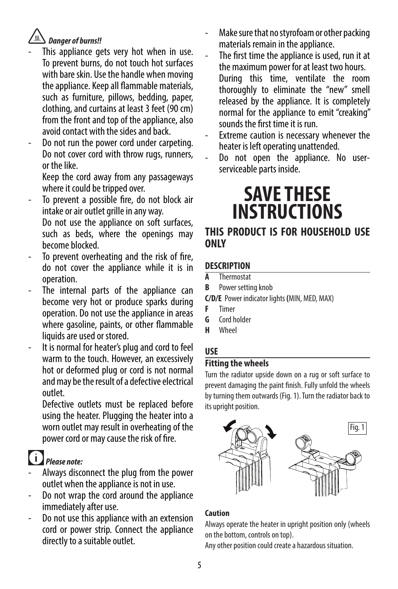## *Danger of burns!!*

- This appliance gets very hot when in use. To prevent burns, do not touch hot surfaces with bare skin. Use the handle when moving the appliance. Keep all flammable materials, such as furniture, pillows, bedding, paper, clothing, and curtains at least 3 feet (90 cm) from the front and top of the appliance, also avoid contact with the sides and back.
- Do not run the power cord under carpeting. Do not cover cord with throw rugs, runners, or the like.

Keep the cord away from any passageways where it could be tripped over.

- To prevent a possible fire, do not block air intake or air outlet grille in any way. Do not use the appliance on soft surfaces, such as beds, where the openings may become blocked.
- To prevent overheating and the risk of fire, do not cover the appliance while it is in operation.
- The internal parts of the appliance can become very hot or produce sparks during operation. Do not use the appliance in areas where gasoline, paints, or other flammable liquids are used or stored.
- It is normal for heater's plug and cord to feel warm to the touch. However, an excessively hot or deformed plug or cord is not normal and may be the result of a defective electrical outlet.

Defective outlets must be replaced before using the heater. Plugging the heater into a worn outlet may result in overheating of the power cord or may cause the risk of fire.

# *Please note:*

- Always disconnect the plug from the power outlet when the appliance is not in use.
- Do not wrap the cord around the appliance immediately after use.
- Do not use this appliance with an extension cord or power strip. Connect the appliance directly to a suitable outlet.
- Make sure that no styrofoam or other packing materials remain in the appliance.
- The first time the appliance is used, run it at the maximum power for at least two hours. During this time, ventilate the room thoroughly to eliminate the "new" smell released by the appliance. It is completely normal for the appliance to emit "creaking" sounds the first time it is run.
- Extreme caution is necessary whenever the heater is left operating unattended.
- Do not open the appliance. No userserviceable parts inside.

# **SAVE THESE INSTRUCTIONS**

### **THIS PRODUCT IS FOR HOUSEHOLD USE ONLY**

## **DESCRIPTION**

- **A** Thermostat
- **B** Power setting knob
- **C/D/E** Power indicator lights **(**MIN, MED, MAX)
- **F** Timer
- **G** Cord holder
- **H** Wheel

## **USE**

### **Fitting the wheels**

Turn the radiator upside down on a rug or soft surface to prevent damaging the paint finish. Fully unfold the wheels by turning them outwards (Fig. 1). Turn the radiator back to its upright position.



### **Caution**

Always operate the heater in upright position only (wheels on the bottom, controls on top).

Any other position could create a hazardous situation.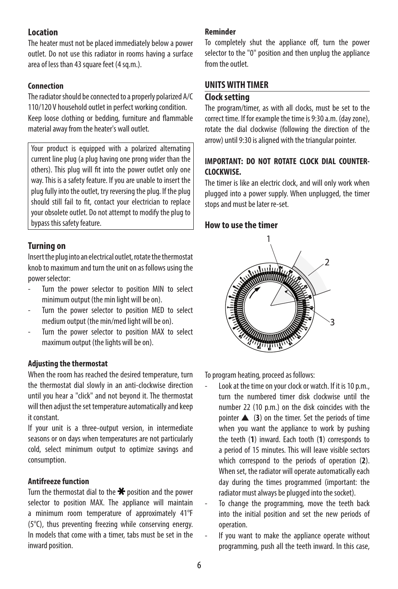#### **Location**

The heater must not be placed immediately below a power outlet. Do not use this radiator in rooms having a surface area of less than 43 square feet (4 sq.m.).

#### **Connection**

The radiator should be connected to a properly polarized A/C 110/120 V household outlet in perfect working condition. Keep loose clothing or bedding, furniture and flammable material away from the heater's wall outlet.

Your product is equipped with a polarized alternating current line plug (a plug having one prong wider than the others). This plug will fit into the power outlet only one way. This is a safety feature. If you are unable to insert the plug fully into the outlet, try reversing the plug. If the plug should still fail to fit, contact your electrician to replace your obsolete outlet. Do not attempt to modify the plug to bypass this safety feature.

#### **Turning on**

Insert the plug into an electrical outlet, rotate the thermostat knob to maximum and turn the unit on as follows using the power selector:

- Turn the power selector to position MIN to select minimum output (the min light will be on).
- Turn the power selector to position MED to select medium output (the min/med light will be on).
- Turn the power selector to position MAX to select maximum output (the lights will be on).

#### **Adjusting the thermostat**

When the room has reached the desired temperature, turn the thermostat dial slowly in an anti-clockwise direction until you hear a "click" and not beyond it. The thermostat will then adjust the set temperature automatically and keep it constant.

If your unit is a three-output version, in intermediate seasons or on days when temperatures are not particularly cold, select minimum output to optimize savings and consumption.

#### **Antifreeze function**

Turn the thermostat dial to the  $\bigstar$  position and the power selector to position MAX. The appliance will maintain a minimum room temperature of approximately 41°F (5°C), thus preventing freezing while conserving energy. In models that come with a timer, tabs must be set in the inward position.

#### **Reminder**

To completely shut the appliance off, turn the power selector to the "0" position and then unplug the appliance from the outlet.

#### **UNITS WITH TIMER**

#### **Clock setting**

The program/timer, as with all clocks, must be set to the correct time. If for example the time is 9:30 a.m. (day zone), rotate the dial clockwise (following the direction of the arrow) until 9:30 is aligned with the triangular pointer.

#### **IMPORTANT: DO NOT ROTATE CLOCK DIAL COUNTER-CLOCKWISE.**

The timer is like an electric clock, and will only work when plugged into a power supply. When unplugged, the timer stops and must be later re-set.

#### **How to use the timer**



To program heating, proceed as follows:

- Look at the time on your clock or watch. If it is 10 p.m., turn the numbered timer disk clockwise until the number 22 (10 p.m.) on the disk coincides with the pointer  $\triangle$  (3) on the timer. Set the periods of time when you want the appliance to work by pushing the teeth (**1**) inward. Each tooth (**1**) corresponds to a period of 15 minutes. This will leave visible sectors which correspond to the periods of operation (**2**). When set, the radiator will operate automatically each day during the times programmed (important: the radiator must always be plugged into the socket).
- To change the programming, move the teeth back into the initial position and set the new periods of operation.
- If you want to make the appliance operate without programming, push all the teeth inward. In this case,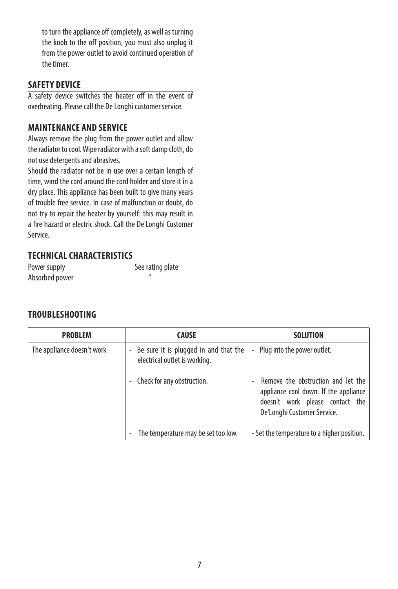to turn the appliance off completely, as well as turning the knob to the off position, you must also unplug it from the power outlet to avoid continued operation of the timer.

#### **SAFETY DEVICE**

A safety device switches the heater off in the event of overheating. Please call the De Longhi customer service.

#### **MAINTENANCE AND SERVICE**

Always remove the plug from the power outlet and allow the radiator to cool. Wipe radiator with a soft damp cloth, do not use detergents and abrasives.

Should the radiator not be in use over a certain length of time, wind the cord around the cord holder and store it in a dry place. This appliance has been built to give many years of trouble free service. In case of malfunction or doubt, do not try to repair the heater by yourself: this may result in a fire hazard or electric shock. Call the De'Longhi Customer Service.

#### **TECHNICAL CHARACTERISTICS**

Power supply See rating plate Absorbed power "

#### **TROUBLESHOOTING**

| <b>PROBLEM</b>             | <b>CAUSE</b>                                                             | <b>SOLUTION</b>                                                                                                                               |
|----------------------------|--------------------------------------------------------------------------|-----------------------------------------------------------------------------------------------------------------------------------------------|
| The appliance doesn't work | - Be sure it is plugged in and that the<br>electrical outlet is working. | Plug into the power outlet.<br>$\blacksquare$                                                                                                 |
|                            | Check for any obstruction.                                               | Remove the obstruction and let the<br>appliance cool down. If the appliance<br>doesn't work please contact the<br>De'Longhi Customer Service. |
|                            | The temperature may be set too low.                                      | - Set the temperature to a higher position.                                                                                                   |